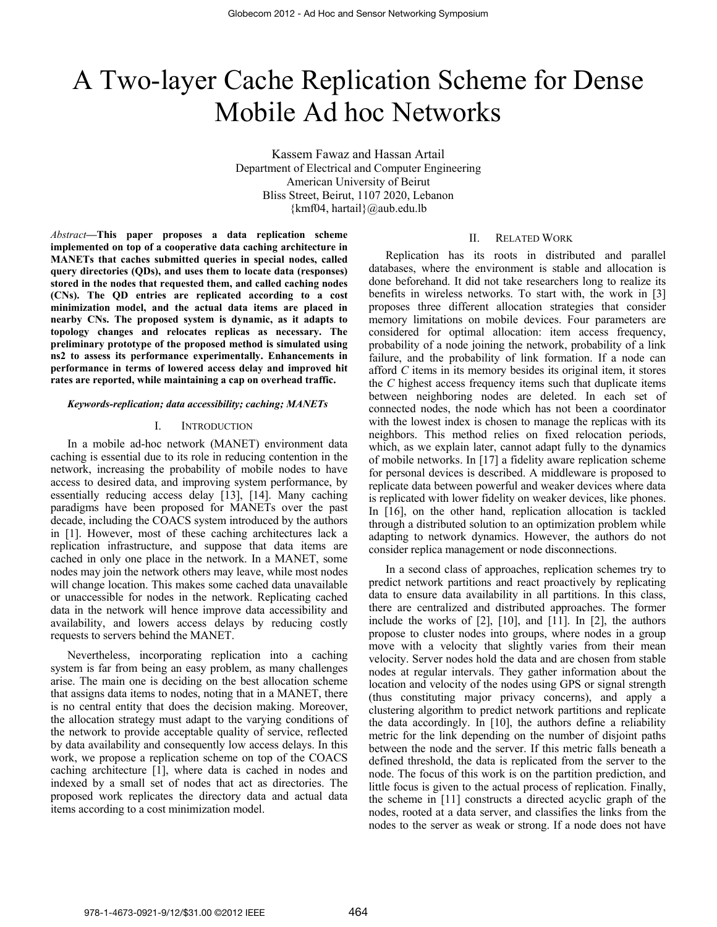# A Two-layer Cache Replication Scheme for Dense Mobile Ad hoc Networks

Kassem Fawaz and Hassan Artail Department of Electrical and Computer Engineering American University of Beirut Bliss Street, Beirut, 1107 2020, Lebanon {kmf04, hartail}@aub.edu.lb

*Abstract***—This paper proposes a data replication scheme implemented on top of a cooperative data caching architecture in MANETs that caches submitted queries in special nodes, called query directories (QDs), and uses them to locate data (responses) stored in the nodes that requested them, and called caching nodes (CNs). The QD entries are replicated according to a cost minimization model, and the actual data items are placed in nearby CNs. The proposed system is dynamic, as it adapts to topology changes and relocates replicas as necessary. The preliminary prototype of the proposed method is simulated using ns2 to assess its performance experimentally. Enhancements in performance in terms of lowered access delay and improved hit rates are reported, while maintaining a cap on overhead traffic.** 

#### *Keywords-replication; data accessibility; caching; MANETs*

#### I. INTRODUCTION

In a mobile ad-hoc network (MANET) environment data caching is essential due to its role in reducing contention in the network, increasing the probability of mobile nodes to have access to desired data, and improving system performance, by essentially reducing access delay [13], [14]. Many caching paradigms have been proposed for MANETs over the past decade, including the COACS system introduced by the authors in [1]. However, most of these caching architectures lack a replication infrastructure, and suppose that data items are cached in only one place in the network. In a MANET, some nodes may join the network others may leave, while most nodes will change location. This makes some cached data unavailable or unaccessible for nodes in the network. Replicating cached data in the network will hence improve data accessibility and availability, and lowers access delays by reducing costly requests to servers behind the MANET.

Nevertheless, incorporating replication into a caching system is far from being an easy problem, as many challenges arise. The main one is deciding on the best allocation scheme that assigns data items to nodes, noting that in a MANET, there is no central entity that does the decision making. Moreover, the allocation strategy must adapt to the varying conditions of the network to provide acceptable quality of service, reflected by data availability and consequently low access delays. In this work, we propose a replication scheme on top of the COACS caching architecture [1], where data is cached in nodes and indexed by a small set of nodes that act as directories. The proposed work replicates the directory data and actual data items according to a cost minimization model.

### II. RELATED WORK

Replication has its roots in distributed and parallel databases, where the environment is stable and allocation is done beforehand. It did not take researchers long to realize its benefits in wireless networks. To start with, the work in [3] proposes three different allocation strategies that consider memory limitations on mobile devices. Four parameters are considered for optimal allocation: item access frequency, probability of a node joining the network, probability of a link failure, and the probability of link formation. If a node can afford *C* items in its memory besides its original item, it stores the *C* highest access frequency items such that duplicate items between neighboring nodes are deleted. In each set of connected nodes, the node which has not been a coordinator with the lowest index is chosen to manage the replicas with its neighbors. This method relies on fixed relocation periods, which, as we explain later, cannot adapt fully to the dynamics of mobile networks. In [17] a fidelity aware replication scheme for personal devices is described. A middleware is proposed to replicate data between powerful and weaker devices where data is replicated with lower fidelity on weaker devices, like phones. In [16], on the other hand, replication allocation is tackled through a distributed solution to an optimization problem while adapting to network dynamics. However, the authors do not consider replica management or node disconnections.

In a second class of approaches, replication schemes try to predict network partitions and react proactively by replicating data to ensure data availability in all partitions. In this class, there are centralized and distributed approaches. The former include the works of [2], [10], and [11]. In [2], the authors propose to cluster nodes into groups, where nodes in a group move with a velocity that slightly varies from their mean velocity. Server nodes hold the data and are chosen from stable nodes at regular intervals. They gather information about the location and velocity of the nodes using GPS or signal strength (thus constituting major privacy concerns), and apply a clustering algorithm to predict network partitions and replicate the data accordingly. In [10], the authors define a reliability metric for the link depending on the number of disjoint paths between the node and the server. If this metric falls beneath a defined threshold, the data is replicated from the server to the node. The focus of this work is on the partition prediction, and little focus is given to the actual process of replication. Finally, the scheme in [11] constructs a directed acyclic graph of the nodes, rooted at a data server, and classifies the links from the nodes to the server as weak or strong. If a node does not have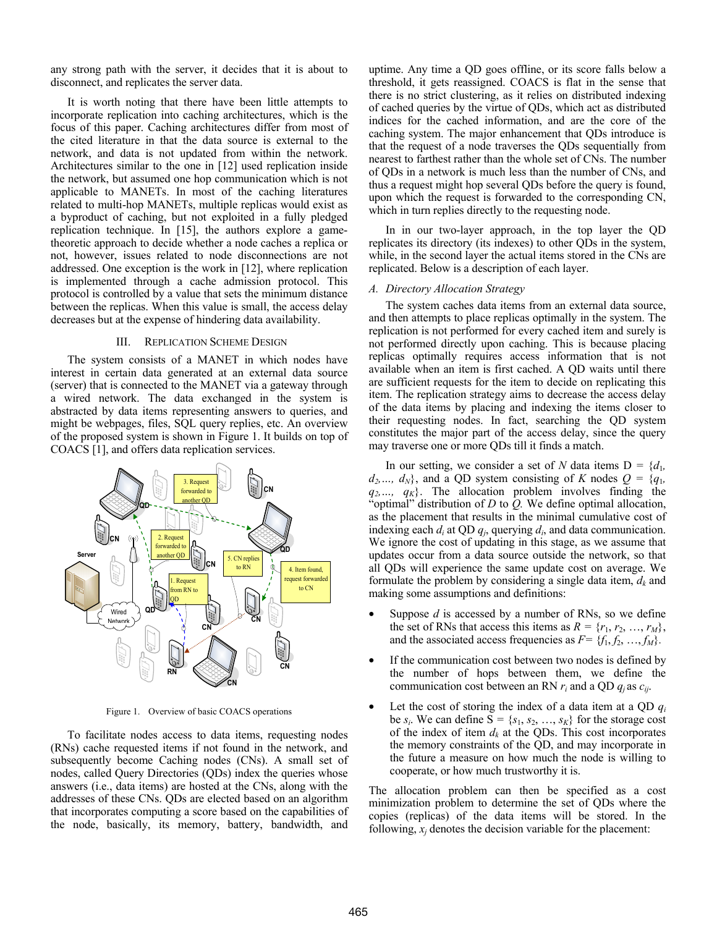any strong path with the server, it decides that it is about to disconnect, and replicates the server data.

It is worth noting that there have been little attempts to incorporate replication into caching architectures, which is the focus of this paper. Caching architectures differ from most of the cited literature in that the data source is external to the network, and data is not updated from within the network. Architectures similar to the one in [12] used replication inside the network, but assumed one hop communication which is not applicable to MANETs. In most of the caching literatures related to multi-hop MANETs, multiple replicas would exist as a byproduct of caching, but not exploited in a fully pledged replication technique. In [15], the authors explore a gametheoretic approach to decide whether a node caches a replica or not, however, issues related to node disconnections are not addressed. One exception is the work in [12], where replication is implemented through a cache admission protocol. This protocol is controlled by a value that sets the minimum distance between the replicas. When this value is small, the access delay decreases but at the expense of hindering data availability.

## III. REPLICATION SCHEME DESIGN

The system consists of a MANET in which nodes have interest in certain data generated at an external data source (server) that is connected to the MANET via a gateway through a wired network. The data exchanged in the system is abstracted by data items representing answers to queries, and might be webpages, files, SQL query replies, etc. An overview of the proposed system is shown in Figure 1. It builds on top of COACS [1], and offers data replication services.



Figure 1. Overview of basic COACS operations

To facilitate nodes access to data items, requesting nodes (RNs) cache requested items if not found in the network, and subsequently become Caching nodes (CNs). A small set of nodes, called Query Directories (QDs) index the queries whose answers (i.e., data items) are hosted at the CNs, along with the addresses of these CNs. QDs are elected based on an algorithm that incorporates computing a score based on the capabilities of the node, basically, its memory, battery, bandwidth, and

uptime. Any time a QD goes offline, or its score falls below a threshold, it gets reassigned. COACS is flat in the sense that there is no strict clustering, as it relies on distributed indexing of cached queries by the virtue of QDs, which act as distributed indices for the cached information, and are the core of the caching system. The major enhancement that QDs introduce is that the request of a node traverses the QDs sequentially from nearest to farthest rather than the whole set of CNs. The number of QDs in a network is much less than the number of CNs, and thus a request might hop several QDs before the query is found, upon which the request is forwarded to the corresponding CN, which in turn replies directly to the requesting node.

In in our two-layer approach, in the top layer the QD replicates its directory (its indexes) to other QDs in the system, while, in the second layer the actual items stored in the CNs are replicated. Below is a description of each layer.

# *A. Directory Allocation Strategy*

The system caches data items from an external data source, and then attempts to place replicas optimally in the system. The replication is not performed for every cached item and surely is not performed directly upon caching. This is because placing replicas optimally requires access information that is not available when an item is first cached. A QD waits until there are sufficient requests for the item to decide on replicating this item. The replication strategy aims to decrease the access delay of the data items by placing and indexing the items closer to their requesting nodes. In fact, searching the QD system constitutes the major part of the access delay, since the query may traverse one or more QDs till it finds a match.

In our setting, we consider a set of *N* data items  $D = \{d_1, d_2\}$  $d_2, \ldots, d_N$ , and a QD system consisting of *K* nodes  $Q = \{q_1, q_2, \ldots, q_N\}$  $q_2, \ldots, q_K$ . The allocation problem involves finding the "optimal" distribution of *D* to *Q.* We define optimal allocation, as the placement that results in the minimal cumulative cost of indexing each *di* at QD *qj*, querying *di*, and data communication. We ignore the cost of updating in this stage, as we assume that updates occur from a data source outside the network, so that all QDs will experience the same update cost on average. We formulate the problem by considering a single data item,  $d_k$  and making some assumptions and definitions:

- Suppose *d* is accessed by a number of RNs, so we define the set of RNs that access this items as  $R = \{r_1, r_2, ..., r_M\}$ , and the associated access frequencies as  $F = \{f_1, f_2, ..., f_M\}$ .
- If the communication cost between two nodes is defined by the number of hops between them, we define the communication cost between an RN  $r_i$  and a QD  $q_i$  as  $c_{ij}$ .
- Let the cost of storing the index of a data item at a QD  $q_i$ be  $s_i$ . We can define  $S = \{s_1, s_2, \ldots, s_K\}$  for the storage cost of the index of item  $d_k$  at the QDs. This cost incorporates the memory constraints of the QD, and may incorporate in the future a measure on how much the node is willing to cooperate, or how much trustworthy it is.

The allocation problem can then be specified as a cost minimization problem to determine the set of QDs where the copies (replicas) of the data items will be stored. In the following,  $x_j$  denotes the decision variable for the placement: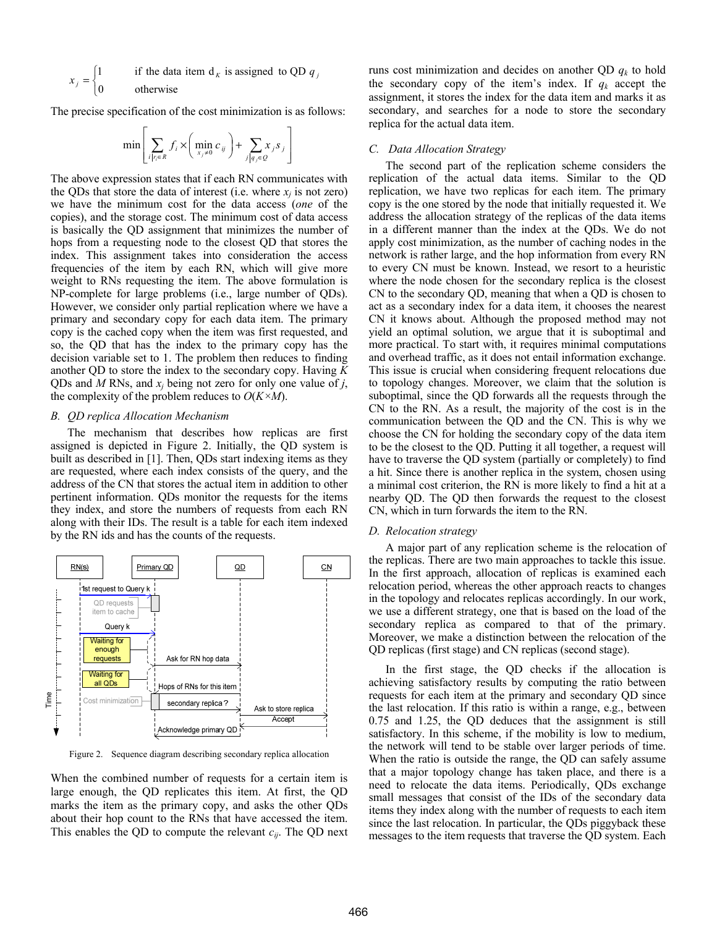$$
x_j = \begin{cases} 1 & \text{if the data item } d_K \text{ is assigned to QD } q_j \\ 0 & \text{otherwise} \end{cases}
$$

The precise specification of the cost minimization is as follows:

$$
\min \left[ \sum_{i \mid r_i \in R} f_i \times \left( \min_{x_j \neq 0} c_{ij} \right) + \sum_{j \mid q_j \in Q} x_j s_j \right]
$$

The above expression states that if each RN communicates with the QDs that store the data of interest (i.e. where  $x_i$  is not zero) we have the minimum cost for the data access (*one* of the copies), and the storage cost. The minimum cost of data access is basically the QD assignment that minimizes the number of hops from a requesting node to the closest QD that stores the index. This assignment takes into consideration the access frequencies of the item by each RN, which will give more weight to RNs requesting the item. The above formulation is NP-complete for large problems (i.e., large number of QDs). However, we consider only partial replication where we have a primary and secondary copy for each data item. The primary copy is the cached copy when the item was first requested, and so, the QD that has the index to the primary copy has the decision variable set to 1. The problem then reduces to finding another QD to store the index to the secondary copy. Having *K*  QDs and *M* RNs, and *xj* being not zero for only one value of *j*, the complexity of the problem reduces to  $O(K \times M)$ .

# *B. QD replica Allocation Mechanism*

The mechanism that describes how replicas are first assigned is depicted in Figure 2. Initially, the QD system is built as described in [1]. Then, QDs start indexing items as they are requested, where each index consists of the query, and the address of the CN that stores the actual item in addition to other pertinent information. QDs monitor the requests for the items they index, and store the numbers of requests from each RN along with their IDs. The result is a table for each item indexed by the RN ids and has the counts of the requests.



Figure 2. Sequence diagram describing secondary replica allocation

When the combined number of requests for a certain item is large enough, the QD replicates this item. At first, the QD marks the item as the primary copy, and asks the other QDs about their hop count to the RNs that have accessed the item. This enables the QD to compute the relevant  $c_{ij}$ . The QD next runs cost minimization and decides on another QD  $q_k$  to hold the secondary copy of the item's index. If  $q_k$  accept the assignment, it stores the index for the data item and marks it as secondary, and searches for a node to store the secondary replica for the actual data item.

#### *C. Data Allocation Strategy*

The second part of the replication scheme considers the replication of the actual data items. Similar to the QD replication, we have two replicas for each item. The primary copy is the one stored by the node that initially requested it. We address the allocation strategy of the replicas of the data items in a different manner than the index at the QDs. We do not apply cost minimization, as the number of caching nodes in the network is rather large, and the hop information from every RN to every CN must be known. Instead, we resort to a heuristic where the node chosen for the secondary replica is the closest CN to the secondary QD, meaning that when a QD is chosen to act as a secondary index for a data item, it chooses the nearest CN it knows about. Although the proposed method may not yield an optimal solution, we argue that it is suboptimal and more practical. To start with, it requires minimal computations and overhead traffic, as it does not entail information exchange. This issue is crucial when considering frequent relocations due to topology changes. Moreover, we claim that the solution is suboptimal, since the QD forwards all the requests through the CN to the RN. As a result, the majority of the cost is in the communication between the QD and the CN. This is why we choose the CN for holding the secondary copy of the data item to be the closest to the QD. Putting it all together, a request will have to traverse the QD system (partially or completely) to find a hit. Since there is another replica in the system, chosen using a minimal cost criterion, the RN is more likely to find a hit at a nearby QD. The QD then forwards the request to the closest CN, which in turn forwards the item to the RN.

#### *D. Relocation strategy*

A major part of any replication scheme is the relocation of the replicas. There are two main approaches to tackle this issue. In the first approach, allocation of replicas is examined each relocation period, whereas the other approach reacts to changes in the topology and relocates replicas accordingly. In our work, we use a different strategy, one that is based on the load of the secondary replica as compared to that of the primary. Moreover, we make a distinction between the relocation of the QD replicas (first stage) and CN replicas (second stage).

In the first stage, the QD checks if the allocation is achieving satisfactory results by computing the ratio between requests for each item at the primary and secondary QD since the last relocation. If this ratio is within a range, e.g., between 0.75 and 1.25, the QD deduces that the assignment is still satisfactory. In this scheme, if the mobility is low to medium, the network will tend to be stable over larger periods of time. When the ratio is outside the range, the QD can safely assume that a major topology change has taken place, and there is a need to relocate the data items. Periodically, QDs exchange small messages that consist of the IDs of the secondary data items they index along with the number of requests to each item since the last relocation. In particular, the QDs piggyback these messages to the item requests that traverse the QD system. Each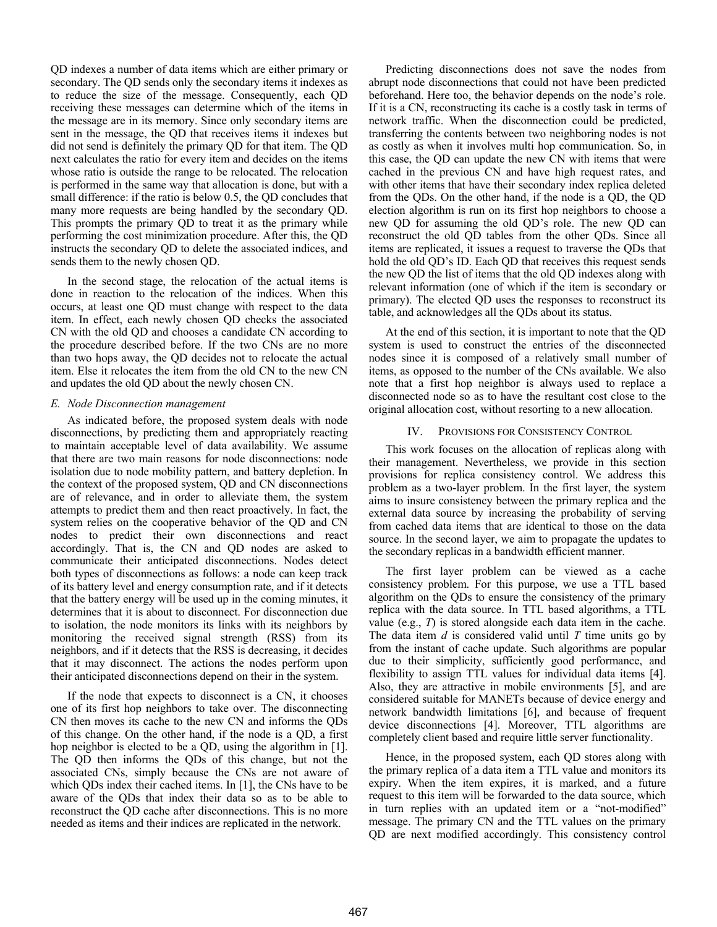QD indexes a number of data items which are either primary or secondary. The QD sends only the secondary items it indexes as to reduce the size of the message. Consequently, each QD receiving these messages can determine which of the items in the message are in its memory. Since only secondary items are sent in the message, the QD that receives items it indexes but did not send is definitely the primary QD for that item. The QD next calculates the ratio for every item and decides on the items whose ratio is outside the range to be relocated. The relocation is performed in the same way that allocation is done, but with a small difference: if the ratio is below 0.5, the QD concludes that many more requests are being handled by the secondary QD. This prompts the primary QD to treat it as the primary while performing the cost minimization procedure. After this, the QD instructs the secondary QD to delete the associated indices, and sends them to the newly chosen QD.

In the second stage, the relocation of the actual items is done in reaction to the relocation of the indices. When this occurs, at least one QD must change with respect to the data item. In effect, each newly chosen QD checks the associated CN with the old QD and chooses a candidate CN according to the procedure described before. If the two CNs are no more than two hops away, the QD decides not to relocate the actual item. Else it relocates the item from the old CN to the new CN and updates the old QD about the newly chosen CN.

# *E. Node Disconnection management*

As indicated before, the proposed system deals with node disconnections, by predicting them and appropriately reacting to maintain acceptable level of data availability. We assume that there are two main reasons for node disconnections: node isolation due to node mobility pattern, and battery depletion. In the context of the proposed system, QD and CN disconnections are of relevance, and in order to alleviate them, the system attempts to predict them and then react proactively. In fact, the system relies on the cooperative behavior of the QD and CN nodes to predict their own disconnections and react accordingly. That is, the CN and QD nodes are asked to communicate their anticipated disconnections. Nodes detect both types of disconnections as follows: a node can keep track of its battery level and energy consumption rate, and if it detects that the battery energy will be used up in the coming minutes, it determines that it is about to disconnect. For disconnection due to isolation, the node monitors its links with its neighbors by monitoring the received signal strength (RSS) from its neighbors, and if it detects that the RSS is decreasing, it decides that it may disconnect. The actions the nodes perform upon their anticipated disconnections depend on their in the system.

If the node that expects to disconnect is a CN, it chooses one of its first hop neighbors to take over. The disconnecting CN then moves its cache to the new CN and informs the QDs of this change. On the other hand, if the node is a QD, a first hop neighbor is elected to be a QD, using the algorithm in [1]. The QD then informs the QDs of this change, but not the associated CNs, simply because the CNs are not aware of which QDs index their cached items. In [1], the CNs have to be aware of the QDs that index their data so as to be able to reconstruct the QD cache after disconnections. This is no more needed as items and their indices are replicated in the network.

Predicting disconnections does not save the nodes from abrupt node disconnections that could not have been predicted beforehand. Here too, the behavior depends on the node's role. If it is a CN, reconstructing its cache is a costly task in terms of network traffic. When the disconnection could be predicted, transferring the contents between two neighboring nodes is not as costly as when it involves multi hop communication. So, in this case, the QD can update the new CN with items that were cached in the previous CN and have high request rates, and with other items that have their secondary index replica deleted from the QDs. On the other hand, if the node is a QD, the QD election algorithm is run on its first hop neighbors to choose a new QD for assuming the old QD's role. The new QD can reconstruct the old QD tables from the other QDs. Since all items are replicated, it issues a request to traverse the QDs that hold the old QD's ID. Each QD that receives this request sends the new QD the list of items that the old QD indexes along with relevant information (one of which if the item is secondary or primary). The elected QD uses the responses to reconstruct its table, and acknowledges all the QDs about its status.

At the end of this section, it is important to note that the QD system is used to construct the entries of the disconnected nodes since it is composed of a relatively small number of items, as opposed to the number of the CNs available. We also note that a first hop neighbor is always used to replace a disconnected node so as to have the resultant cost close to the original allocation cost, without resorting to a new allocation.

# IV. PROVISIONS FOR CONSISTENCY CONTROL

This work focuses on the allocation of replicas along with their management. Nevertheless, we provide in this section provisions for replica consistency control. We address this problem as a two-layer problem. In the first layer, the system aims to insure consistency between the primary replica and the external data source by increasing the probability of serving from cached data items that are identical to those on the data source. In the second layer, we aim to propagate the updates to the secondary replicas in a bandwidth efficient manner.

The first layer problem can be viewed as a cache consistency problem. For this purpose, we use a TTL based algorithm on the QDs to ensure the consistency of the primary replica with the data source. In TTL based algorithms, a TTL value (e.g., *T*) is stored alongside each data item in the cache. The data item *d* is considered valid until *T* time units go by from the instant of cache update. Such algorithms are popular due to their simplicity, sufficiently good performance, and flexibility to assign TTL values for individual data items [4]. Also, they are attractive in mobile environments [5], and are considered suitable for MANETs because of device energy and network bandwidth limitations [6], and because of frequent device disconnections [4]. Moreover, TTL algorithms are completely client based and require little server functionality.

Hence, in the proposed system, each QD stores along with the primary replica of a data item a TTL value and monitors its expiry. When the item expires, it is marked, and a future request to this item will be forwarded to the data source, which in turn replies with an updated item or a "not-modified" message. The primary CN and the TTL values on the primary QD are next modified accordingly. This consistency control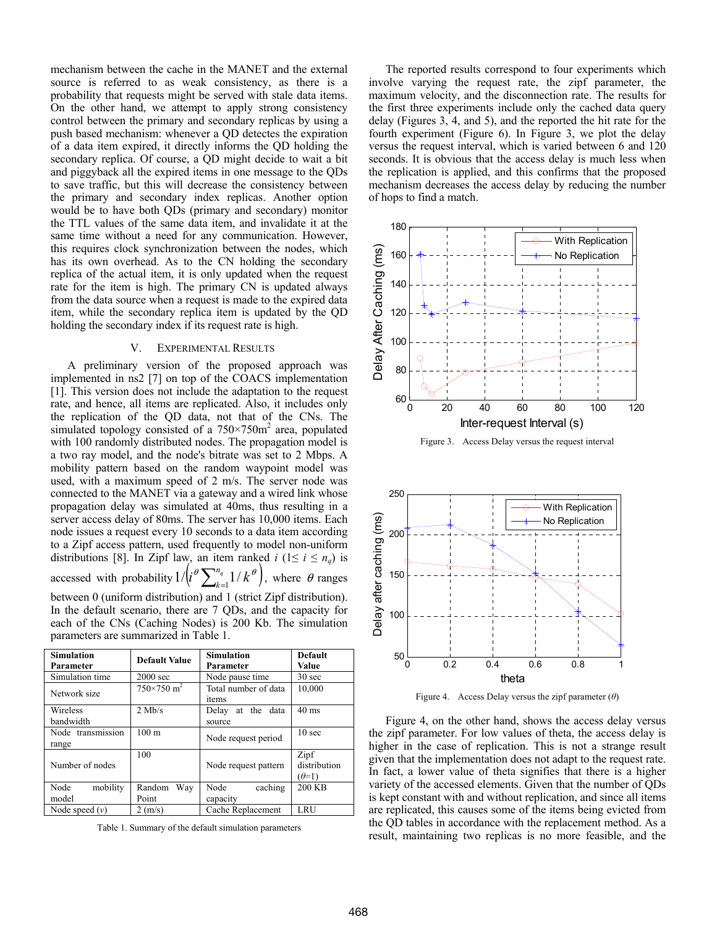mechanism between the cache in the MANET and the external source is referred to as weak consistency, as there is a probability that requests might be served with stale data items. On the other hand, we attempt to apply strong consistency control between the primary and secondary replicas by using a push based mechanism: whenever a QD detectes the expiration of a data item expired, it directly informs the QD holding the secondary replica. Of course, a QD might decide to wait a bit and piggyback all the expired items in one message to the QDs to save traffic, but this will decrease the consistency between the primary and secondary index replicas. Another option would be to have both QDs (primary and secondary) monitor the TTL values of the same data item, and invalidate it at the same time without a need for any communication. However, this requires clock synchronization between the nodes, which has its own overhead. As to the CN holding the secondary replica of the actual item, it is only updated when the request rate for the item is high. The primary CN is updated always from the data source when a request is made to the expired data item, while the secondary replica item is updated by the QD holding the secondary index if its request rate is high.

### V. EXPERIMENTAL RESULTS

A preliminary version of the proposed approach was implemented in ns2 [7] on top of the COACS implementation [1]. This version does not include the adaptation to the request rate, and hence, all items are replicated. Also, it includes only the replication of the QD data, not that of the CNs. The simulated topology consisted of a  $750\times750m^2$  area, populated with 100 randomly distributed nodes. The propagation model is a two ray model, and the node's bitrate was set to 2 Mbps. A mobility pattern based on the random waypoint model was used, with a maximum speed of 2 m/s. The server node was connected to the MANET via a gateway and a wired link whose propagation delay was simulated at 40ms, thus resulting in a server access delay of 80ms. The server has 10,000 items. Each node issues a request every 10 seconds to a data item according to a Zipf access pattern, used frequently to model non-uniform distributions [8]. In Zipf law, an item ranked  $i$  ( $1 \le i \le n_q$ ) is accessed with probability  $1/(\hat{i}^{\theta} \sum_{k=1}^{n_q} 1/k^{\theta})$ , where  $\theta$  ranges  $1/$  $(i^{\theta} \sum_{k=1}^{n_q} 1/k^{\theta})$ 

between 0 (uniform distribution) and 1 (strict Zipf distribution). In the default scenario, there are 7 QDs, and the capacity for each of the CNs (Caching Nodes) is 200 Kb. The simulation parameters are summarized in Table 1.

| <b>Simulation</b><br>Parameter | <b>Default Value</b>       | <b>Simulation</b><br>Parameter | <b>Default</b><br>Value              |
|--------------------------------|----------------------------|--------------------------------|--------------------------------------|
| Simulation time                | $2000 \text{ sec}$         | Node pause time                | 30 sec                               |
| Network size                   | $750\times750 \text{ m}^2$ | Total number of data<br>items  | 10,000                               |
| Wireless                       | $2$ Mb/s                   | at the data<br>Delay           | $40$ ms                              |
| bandwidth                      |                            | source                         |                                      |
| Node transmission              | 100 <sub>m</sub>           | Node request period            | 10 <sub>sec</sub>                    |
| range                          |                            |                                |                                      |
| Number of nodes                | 100                        | Node request pattern           | Zipf<br>distribution<br>$(\theta=1)$ |
| Node<br>mobility               | Way<br>Random              | caching<br>Node                | 200 KB                               |
| model                          | Point                      | capacity                       |                                      |
| Node speed $(v)$               | $2 \text{ (m/s)}$          | Cache Replacement              | LRU                                  |

Table 1. Summary of the default simulation parameters

The reported results correspond to four experiments which involve varying the request rate, the zipf parameter, the maximum velocity, and the disconnection rate. The results for the first three experiments include only the cached data query delay (Figures 3, 4, and 5), and the reported the hit rate for the fourth experiment (Figure 6). In Figure 3, we plot the delay versus the request interval, which is varied between 6 and 120 seconds. It is obvious that the access delay is much less when the replication is applied, and this confirms that the proposed mechanism decreases the access delay by reducing the number of hops to find a match.



Figure 3. Access Delay versus the request interval



Figure 4. Access Delay versus the zipf parameter (*θ*)

Figure 4, on the other hand, shows the access delay versus the zipf parameter. For low values of theta, the access delay is higher in the case of replication. This is not a strange result given that the implementation does not adapt to the request rate. In fact, a lower value of theta signifies that there is a higher variety of the accessed elements. Given that the number of QDs is kept constant with and without replication, and since all items are replicated, this causes some of the items being evicted from the QD tables in accordance with the replacement method. As a result, maintaining two replicas is no more feasible, and the